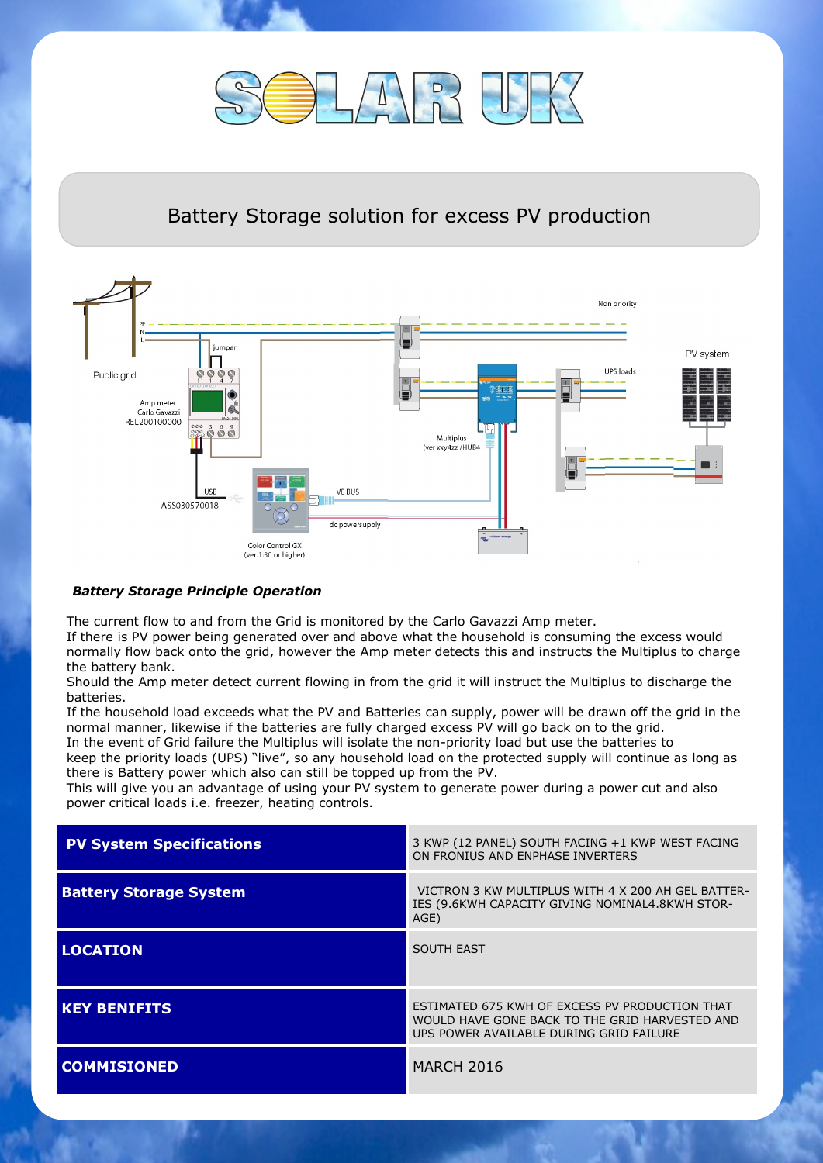

## Battery Storage solution for excess PV production



## *Battery Storage Principle Operation*

The current flow to and from the Grid is monitored by the Carlo Gavazzi Amp meter.

If there is PV power being generated over and above what the household is consuming the excess would normally flow back onto the grid, however the Amp meter detects this and instructs the Multiplus to charge the battery bank.

Should the Amp meter detect current flowing in from the grid it will instruct the Multiplus to discharge the batteries.

If the household load exceeds what the PV and Batteries can supply, power will be drawn off the grid in the normal manner, likewise if the batteries are fully charged excess PV will go back on to the grid.

In the event of Grid failure the Multiplus will isolate the non-priority load but use the batteries to keep the priority loads (UPS) "live", so any household load on the protected supply will continue as long as there is Battery power which also can still be topped up from the PV.

This will give you an advantage of using your PV system to generate power during a power cut and also power critical loads i.e. freezer, heating controls.

| <b>PV System Specifications</b> | 3 KWP (12 PANEL) SOUTH FACING +1 KWP WEST FACING<br>ON FRONIUS AND ENPHASE INVERTERS                                                        |
|---------------------------------|---------------------------------------------------------------------------------------------------------------------------------------------|
| <b>Battery Storage System</b>   | VICTRON 3 KW MULTIPLUS WITH 4 X 200 AH GEL BATTER-<br>IES (9.6KWH CAPACITY GIVING NOMINAL4.8KWH STOR-<br>AGE)                               |
| <b>LOCATION</b>                 | <b>SOUTH EAST</b>                                                                                                                           |
| <b>KEY BENIFITS</b>             | ESTIMATED 675 KWH OF EXCESS PV PRODUCTION THAT<br>WOULD HAVE GONE BACK TO THE GRID HARVESTED AND<br>UPS POWER AVAILABLE DURING GRID FAILURE |
| <b>COMMISIONED</b>              | <b>MARCH 2016</b>                                                                                                                           |